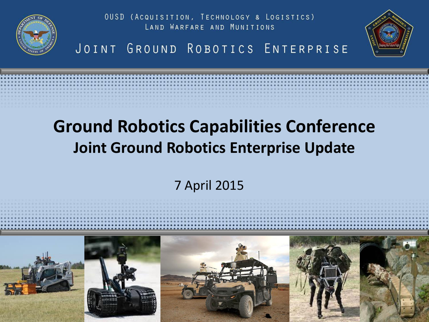

OUSD (ACQUISITION, TECHNOLOGY & LOGISTICS) LAND WARFARE AND MUNITIONS





# **Ground Robotics Capabilities Conference Joint Ground Robotics Enterprise Update**

7 April 2015

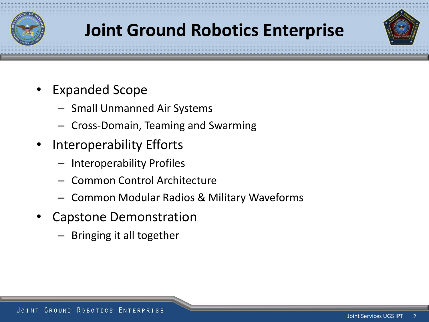

# **Joint Ground Robotics Enterprise**

- Expanded Scope
	- Small Unmanned Air Systems
	- Cross-Domain, Teaming and Swarming
- Interoperability Efforts
	- Interoperability Profiles
	- Common Control Architecture
	- Common Modular Radios & Military Waveforms
- Capstone Demonstration
	- Bringing it all together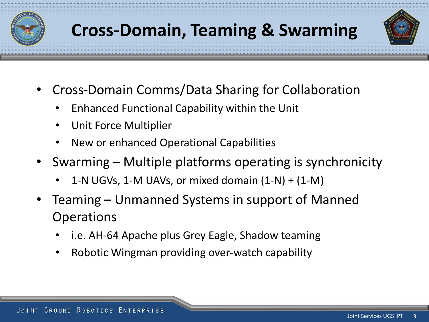



- Cross-Domain Comms/Data Sharing for Collaboration
	- Enhanced Functional Capability within the Unit
	- Unit Force Multiplier
	- New or enhanced Operational Capabilities
- Swarming Multiple platforms operating is synchronicity
	- 1-N UGVs, 1-M UAVs, or mixed domain  $(1-N) + (1-N)$
- Teaming Unmanned Systems in support of Manned **Operations** 
	- i.e. AH-64 Apache plus Grey Eagle, Shadow teaming
	- Robotic Wingman providing over-watch capability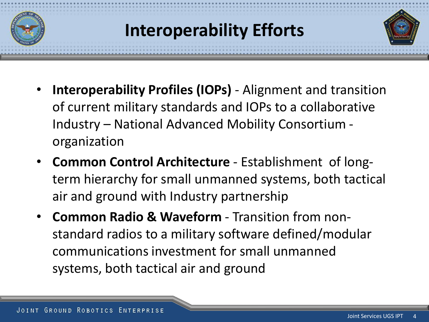

- **Interoperability Profiles (IOPs)**  Alignment and transition of current military standards and IOPs to a collaborative Industry – National Advanced Mobility Consortium organization
- **Common Control Architecture**  Establishment of longterm hierarchy for small unmanned systems, both tactical air and ground with Industry partnership
- **Common Radio & Waveform**  Transition from nonstandard radios to a military software defined/modular communications investment for small unmanned systems, both tactical air and ground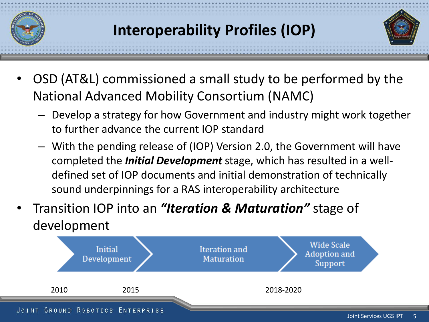

## **Interoperability Profiles (IOP)**



- OSD (AT&L) commissioned a small study to be performed by the National Advanced Mobility Consortium (NAMC)
	- Develop a strategy for how Government and industry might work together to further advance the current IOP standard
	- With the pending release of (IOP) Version 2.0, the Government will have completed the *Initial Development* stage, which has resulted in a welldefined set of IOP documents and initial demonstration of technically sound underpinnings for a RAS interoperability architecture
- Transition IOP into an *"Iteration & Maturation"* stage of development

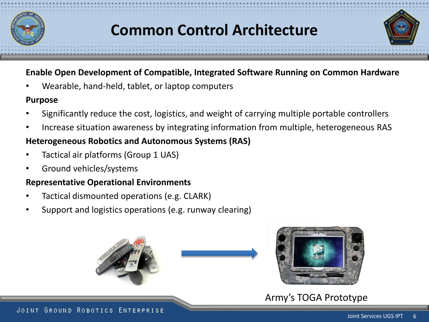

### **Common Control Architecture**



• Wearable, hand-held, tablet, or laptop computers

#### **Purpose**

- Significantly reduce the cost, logistics, and weight of carrying multiple portable controllers
- Increase situation awareness by integrating information from multiple, heterogeneous RAS

### **Heterogeneous Robotics and Autonomous Systems (RAS)**

- Tactical air platforms (Group 1 UAS)
- Ground vehicles/systems

### **Representative Operational Environments**

- Tactical dismounted operations (e.g. CLARK)
- Support and logistics operations (e.g. runway clearing)





Army's TOGA Prototype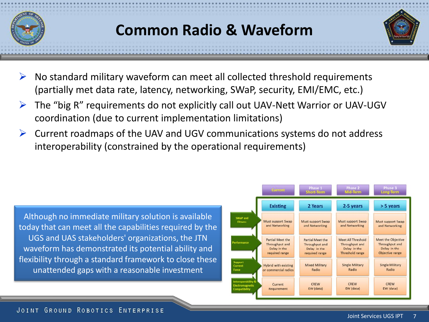

## **Common Radio & Waveform**



- $\triangleright$  No standard military waveform can meet all collected threshold requirements (partially met data rate, latency, networking, SWaP, security, EMI/EMC, etc.)
- $\triangleright$  The "big R" requirements do not explicitly call out UAV-Nett Warrior or UAV-UGV coordination (due to current implementation limitations)
- $\triangleright$  Current roadmaps of the UAV and UGV communications systems do not address interoperability (constrained by the operational requirements)

Although no immediate military solution is available today that can meet all the capabilities required by the UGS and UAS stakeholders' organizations, the JTN waveform has demonstrated its potential ability and flexibility through a standard framework to close these unattended gaps with a reasonable investment